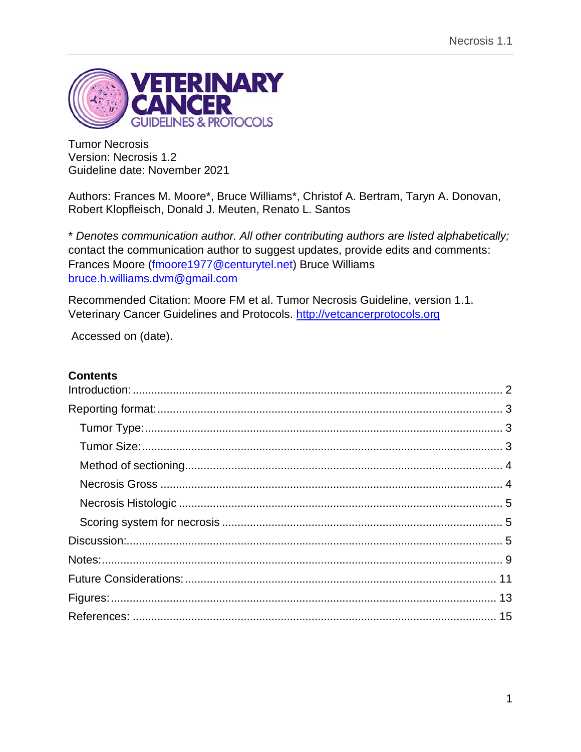

Tumor Necrosis Version: Necrosis 1.2 Guideline date: November 2021

Authors: Frances M. Moore\*, Bruce Williams\*, Christof A. Bertram, Taryn A. Donovan, Robert Klopfleisch, Donald J. Meuten, Renato L. Santos

\* *Denotes communication author. All other contributing authors are listed alphabetically;*  contact the communication author to suggest updates, provide edits and comments: Frances Moore [\(fmoore1977@centurytel.net\)](mailto:fmoore1977@centurytel.net) Bruce Williams bruce.h.williams.dvm@gmail.com

Recommended Citation: Moore FM et al. Tumor Necrosis Guideline, version 1.1. Veterinary Cancer Guidelines and Protocols. [http://vetcancerprotocols.org](http://vetcancerprotocols.org/)

Accessed on (date).

# **Contents**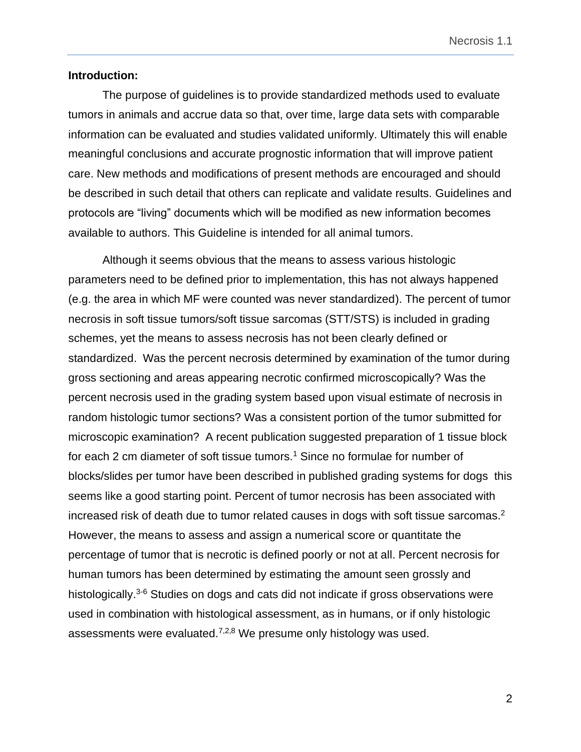#### <span id="page-1-0"></span>**Introduction:**

The purpose of guidelines is to provide standardized methods used to evaluate tumors in animals and accrue data so that, over time, large data sets with comparable information can be evaluated and studies validated uniformly. Ultimately this will enable meaningful conclusions and accurate prognostic information that will improve patient care. New methods and modifications of present methods are encouraged and should be described in such detail that others can replicate and validate results. Guidelines and protocols are "living" documents which will be modified as new information becomes available to authors. This Guideline is intended for all animal tumors.

Although it seems obvious that the means to assess various histologic parameters need to be defined prior to implementation, this has not always happened (e.g. the area in which MF were counted was never standardized). The percent of tumor necrosis in soft tissue tumors/soft tissue sarcomas (STT/STS) is included in grading schemes, yet the means to assess necrosis has not been clearly defined or standardized. Was the percent necrosis determined by examination of the tumor during gross sectioning and areas appearing necrotic confirmed microscopically? Was the percent necrosis used in the grading system based upon visual estimate of necrosis in random histologic tumor sections? Was a consistent portion of the tumor submitted for microscopic examination? A recent publication suggested preparation of 1 tissue block for each 2 cm diameter of soft tissue tumors.<sup>1</sup> Since no formulae for number of blocks/slides per tumor have been described in published grading systems for dogs this seems like a good starting point. Percent of tumor necrosis has been associated with increased risk of death due to tumor related causes in dogs with soft tissue sarcomas.<sup>2</sup> However, the means to assess and assign a numerical score or quantitate the percentage of tumor that is necrotic is defined poorly or not at all. Percent necrosis for human tumors has been determined by estimating the amount seen grossly and histologically.<sup>3-6</sup> Studies on dogs and cats did not indicate if gross observations were used in combination with histological assessment, as in humans, or if only histologic assessments were evaluated.7,2,8 We presume only histology was used.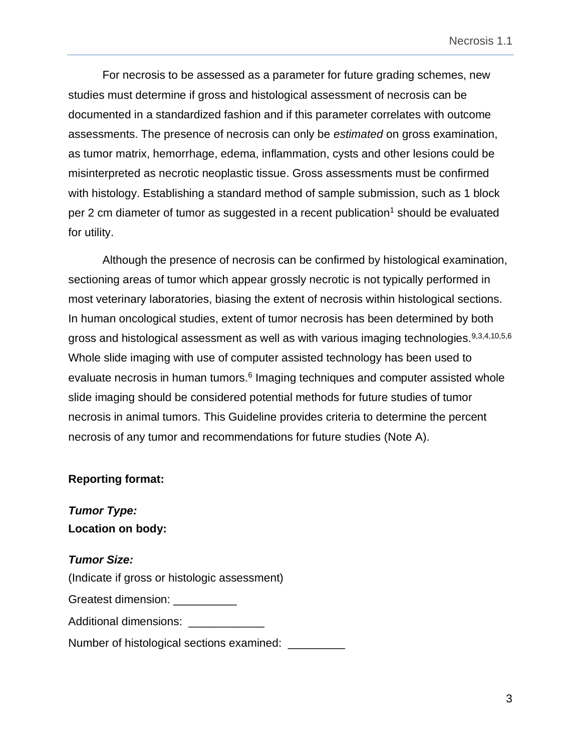For necrosis to be assessed as a parameter for future grading schemes, new studies must determine if gross and histological assessment of necrosis can be documented in a standardized fashion and if this parameter correlates with outcome assessments. The presence of necrosis can only be *estimated* on gross examination, as tumor matrix, hemorrhage, edema, inflammation, cysts and other lesions could be misinterpreted as necrotic neoplastic tissue. Gross assessments must be confirmed with histology. Establishing a standard method of sample submission, such as 1 block per 2 cm diameter of tumor as suggested in a recent publication<sup>1</sup> should be evaluated for utility.

Although the presence of necrosis can be confirmed by histological examination, sectioning areas of tumor which appear grossly necrotic is not typically performed in most veterinary laboratories, biasing the extent of necrosis within histological sections. In human oncological studies, extent of tumor necrosis has been determined by both gross and histological assessment as well as with various imaging technologies. 9,3,4,10,5,6 Whole slide imaging with use of computer assisted technology has been used to evaluate necrosis in human tumors.<sup>6</sup> Imaging techniques and computer assisted whole slide imaging should be considered potential methods for future studies of tumor necrosis in animal tumors. This Guideline provides criteria to determine the percent necrosis of any tumor and recommendations for future studies (Note A).

### <span id="page-2-0"></span>**Reporting format:**

<span id="page-2-1"></span>*Tumor Type:* **Location on body:**

### <span id="page-2-2"></span>*Tumor Size:*

(Indicate if gross or histologic assessment)

Additional dimensions: \_\_\_\_\_\_\_\_\_\_\_

Number of histological sections examined: \_\_\_\_\_\_\_\_\_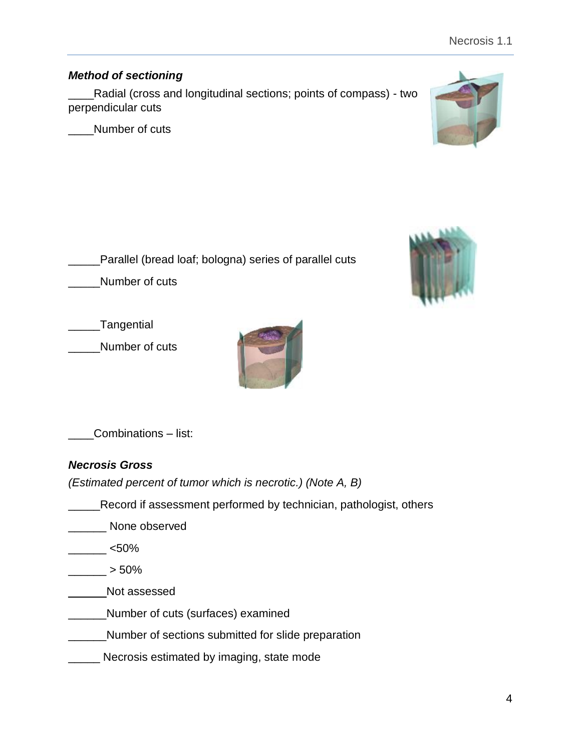# <span id="page-3-0"></span>*Method of sectioning*

\_\_\_\_Radial (cross and longitudinal sections; points of compass) - two perpendicular cuts

Number of cuts

Parallel (bread loaf; bologna) series of parallel cuts

Number of cuts

\_\_\_\_\_Tangential

\_\_\_\_\_Number of cuts



# <span id="page-3-1"></span>*Necrosis Gross*

*(Estimated percent of tumor which is necrotic.) (Note A, B)* 

\_\_\_\_\_Record if assessment performed by technician, pathologist, others

\_\_\_\_\_\_ None observed

 $-$  <50%

 $\frac{1}{2}$  > 50%

\_\_\_\_\_\_Not assessed

\_\_\_\_\_\_Number of cuts (surfaces) examined

**\_\_\_\_\_\_Number of sections submitted for slide preparation** 

**Necrosis estimated by imaging, state mode** 





Necrosis 1.1

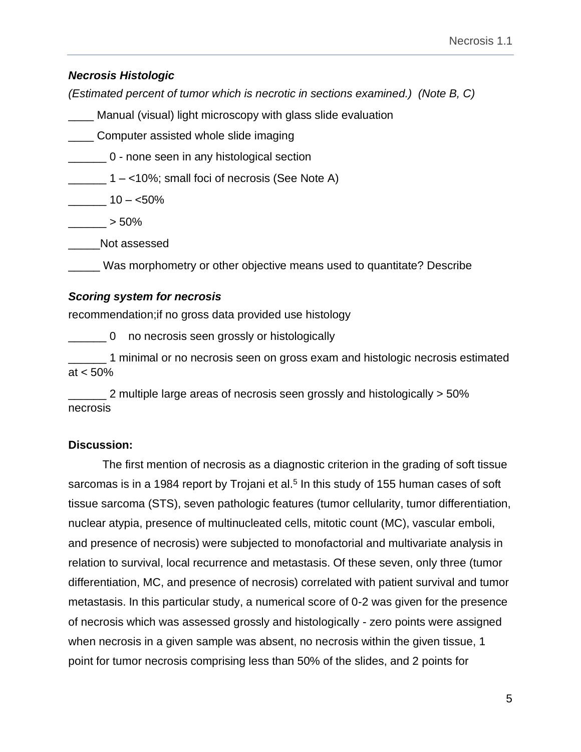# <span id="page-4-0"></span>*Necrosis Histologic*

*(Estimated percent of tumor which is necrotic in sections examined.) (Note B, C)* 

Manual (visual) light microscopy with glass slide evaluation

\_\_\_\_ Computer assisted whole slide imaging

**COLO** - none seen in any histological section

 $\frac{1}{2}$  1 – <10%; small foci of necrosis (See Note A)

 $10 - 50\%$ 

 $\frac{1}{2}$  > 50%

\_\_\_\_\_Not assessed

Was morphometry or other objective means used to quantitate? Describe

# <span id="page-4-1"></span>*Scoring system for necrosis*

recommendation;if no gross data provided use histology

\_\_\_\_\_\_ 0 no necrosis seen grossly or histologically

\_\_\_\_\_\_ 1 minimal or no necrosis seen on gross exam and histologic necrosis estimated at < 50%

\_\_\_\_\_\_ 2 multiple large areas of necrosis seen grossly and histologically > 50% necrosis

# <span id="page-4-2"></span>**Discussion:**

The first mention of necrosis as a diagnostic criterion in the grading of soft tissue sarcomas is in a 1984 report by Trojani et al.<sup>5</sup> In this study of 155 human cases of soft tissue sarcoma (STS), seven pathologic features (tumor cellularity, tumor differentiation, nuclear atypia, presence of multinucleated cells, mitotic count (MC), vascular emboli, and presence of necrosis) were subjected to monofactorial and multivariate analysis in relation to survival, local recurrence and metastasis. Of these seven, only three (tumor differentiation, MC, and presence of necrosis) correlated with patient survival and tumor metastasis. In this particular study, a numerical score of 0-2 was given for the presence of necrosis which was assessed grossly and histologically - zero points were assigned when necrosis in a given sample was absent, no necrosis within the given tissue, 1 point for tumor necrosis comprising less than 50% of the slides, and 2 points for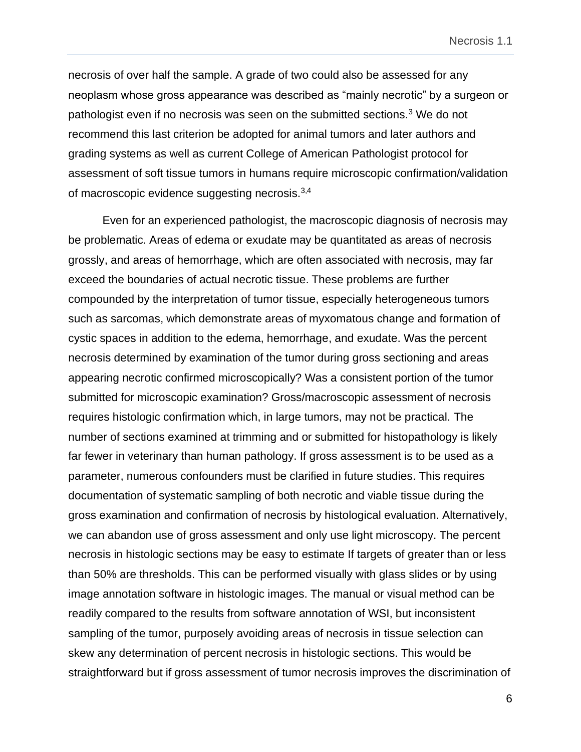necrosis of over half the sample. A grade of two could also be assessed for any neoplasm whose gross appearance was described as "mainly necrotic" by a surgeon or pathologist even if no necrosis was seen on the submitted sections.<sup>3</sup> We do not recommend this last criterion be adopted for animal tumors and later authors and grading systems as well as current College of American Pathologist protocol for assessment of soft tissue tumors in humans require microscopic confirmation/validation of macroscopic evidence suggesting necrosis.3,4

Even for an experienced pathologist, the macroscopic diagnosis of necrosis may be problematic. Areas of edema or exudate may be quantitated as areas of necrosis grossly, and areas of hemorrhage, which are often associated with necrosis, may far exceed the boundaries of actual necrotic tissue. These problems are further compounded by the interpretation of tumor tissue, especially heterogeneous tumors such as sarcomas, which demonstrate areas of myxomatous change and formation of cystic spaces in addition to the edema, hemorrhage, and exudate. Was the percent necrosis determined by examination of the tumor during gross sectioning and areas appearing necrotic confirmed microscopically? Was a consistent portion of the tumor submitted for microscopic examination? Gross/macroscopic assessment of necrosis requires histologic confirmation which, in large tumors, may not be practical. The number of sections examined at trimming and or submitted for histopathology is likely far fewer in veterinary than human pathology. If gross assessment is to be used as a parameter, numerous confounders must be clarified in future studies. This requires documentation of systematic sampling of both necrotic and viable tissue during the gross examination and confirmation of necrosis by histological evaluation. Alternatively, we can abandon use of gross assessment and only use light microscopy. The percent necrosis in histologic sections may be easy to estimate If targets of greater than or less than 50% are thresholds. This can be performed visually with glass slides or by using image annotation software in histologic images. The manual or visual method can be readily compared to the results from software annotation of WSI, but inconsistent sampling of the tumor, purposely avoiding areas of necrosis in tissue selection can skew any determination of percent necrosis in histologic sections. This would be straightforward but if gross assessment of tumor necrosis improves the discrimination of

6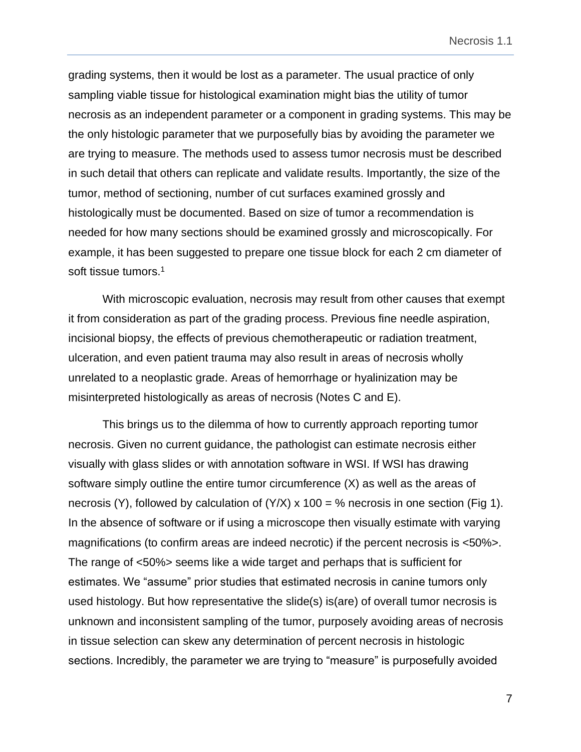grading systems, then it would be lost as a parameter. The usual practice of only sampling viable tissue for histological examination might bias the utility of tumor necrosis as an independent parameter or a component in grading systems. This may be the only histologic parameter that we purposefully bias by avoiding the parameter we are trying to measure. The methods used to assess tumor necrosis must be described in such detail that others can replicate and validate results. Importantly, the size of the tumor, method of sectioning, number of cut surfaces examined grossly and histologically must be documented. Based on size of tumor a recommendation is needed for how many sections should be examined grossly and microscopically. For example, it has been suggested to prepare one tissue block for each 2 cm diameter of soft tissue tumors.<sup>1</sup>

With microscopic evaluation, necrosis may result from other causes that exempt it from consideration as part of the grading process. Previous fine needle aspiration, incisional biopsy, the effects of previous chemotherapeutic or radiation treatment, ulceration, and even patient trauma may also result in areas of necrosis wholly unrelated to a neoplastic grade. Areas of hemorrhage or hyalinization may be misinterpreted histologically as areas of necrosis (Notes C and E).

This brings us to the dilemma of how to currently approach reporting tumor necrosis. Given no current guidance, the pathologist can estimate necrosis either visually with glass slides or with annotation software in WSI. If WSI has drawing software simply outline the entire tumor circumference (X) as well as the areas of necrosis (Y), followed by calculation of  $(Y/X)$  x 100 = % necrosis in one section (Fig 1). In the absence of software or if using a microscope then visually estimate with varying magnifications (to confirm areas are indeed necrotic) if the percent necrosis is <50%>. The range of <50%> seems like a wide target and perhaps that is sufficient for estimates. We "assume" prior studies that estimated necrosis in canine tumors only used histology. But how representative the slide(s) is(are) of overall tumor necrosis is unknown and inconsistent sampling of the tumor, purposely avoiding areas of necrosis in tissue selection can skew any determination of percent necrosis in histologic sections. Incredibly, the parameter we are trying to "measure" is purposefully avoided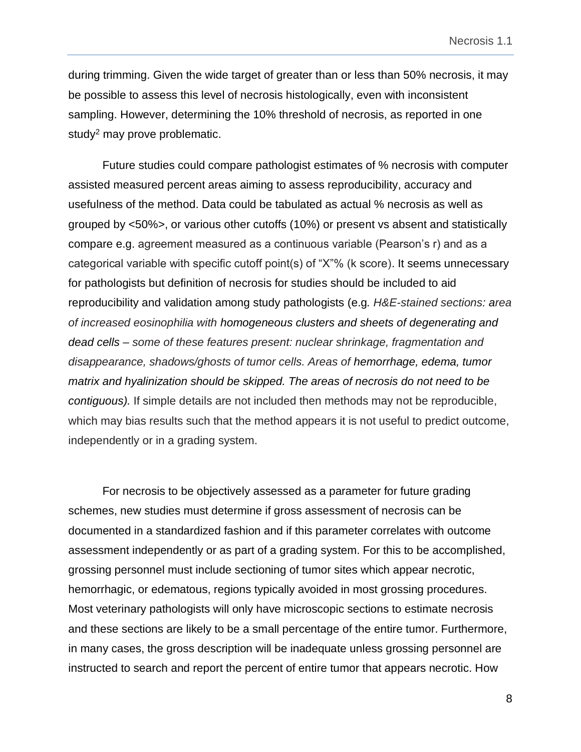during trimming. Given the wide target of greater than or less than 50% necrosis, it may be possible to assess this level of necrosis histologically, even with inconsistent sampling. However, determining the 10% threshold of necrosis, as reported in one study<sup>2</sup> may prove problematic.

Future studies could compare pathologist estimates of % necrosis with computer assisted measured percent areas aiming to assess reproducibility, accuracy and usefulness of the method. Data could be tabulated as actual % necrosis as well as grouped by <50%>, or various other cutoffs (10%) or present vs absent and statistically compare e.g. agreement measured as a continuous variable (Pearson's r) and as a categorical variable with specific cutoff point(s) of "X"% (k score). It seems unnecessary for pathologists but definition of necrosis for studies should be included to aid reproducibility and validation among study pathologists (e.g*. H&E-stained sections: area of increased eosinophilia with homogeneous clusters and sheets of degenerating and dead cells – some of these features present: nuclear shrinkage, fragmentation and disappearance, shadows/ghosts of tumor cells. Areas of hemorrhage, edema, tumor matrix and hyalinization should be skipped. The areas of necrosis do not need to be contiguous).* If simple details are not included then methods may not be reproducible, which may bias results such that the method appears it is not useful to predict outcome, independently or in a grading system.

For necrosis to be objectively assessed as a parameter for future grading schemes, new studies must determine if gross assessment of necrosis can be documented in a standardized fashion and if this parameter correlates with outcome assessment independently or as part of a grading system. For this to be accomplished, grossing personnel must include sectioning of tumor sites which appear necrotic, hemorrhagic, or edematous, regions typically avoided in most grossing procedures. Most veterinary pathologists will only have microscopic sections to estimate necrosis and these sections are likely to be a small percentage of the entire tumor. Furthermore, in many cases, the gross description will be inadequate unless grossing personnel are instructed to search and report the percent of entire tumor that appears necrotic. How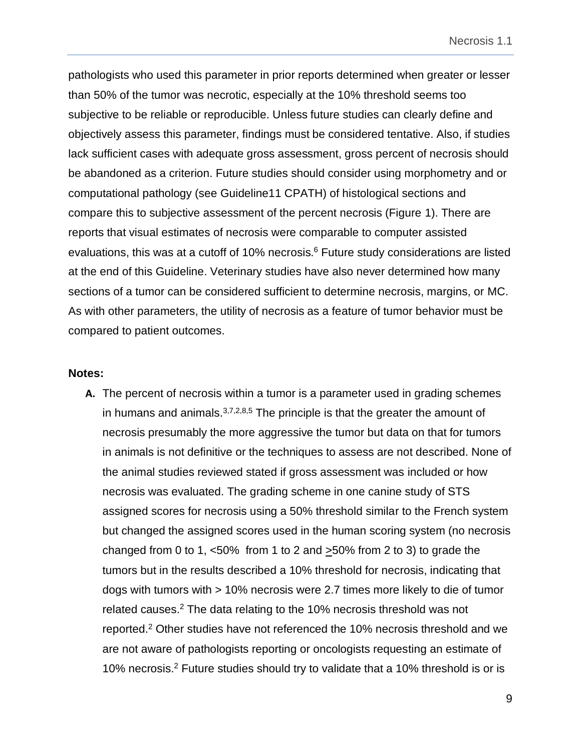pathologists who used this parameter in prior reports determined when greater or lesser than 50% of the tumor was necrotic, especially at the 10% threshold seems too subjective to be reliable or reproducible. Unless future studies can clearly define and objectively assess this parameter, findings must be considered tentative. Also, if studies lack sufficient cases with adequate gross assessment, gross percent of necrosis should be abandoned as a criterion. Future studies should consider using morphometry and or computational pathology (see Guideline11 CPATH) of histological sections and compare this to subjective assessment of the percent necrosis (Figure 1). There are reports that visual estimates of necrosis were comparable to computer assisted evaluations, this was at a cutoff of 10% necrosis.<sup>6</sup> Future study considerations are listed at the end of this Guideline. Veterinary studies have also never determined how many sections of a tumor can be considered sufficient to determine necrosis, margins, or MC. As with other parameters, the utility of necrosis as a feature of tumor behavior must be compared to patient outcomes.

#### <span id="page-8-0"></span>**Notes:**

**A.** The percent of necrosis within a tumor is a parameter used in grading schemes in humans and animals.  $37,2,8,5$  The principle is that the greater the amount of necrosis presumably the more aggressive the tumor but data on that for tumors in animals is not definitive or the techniques to assess are not described. None of the animal studies reviewed stated if gross assessment was included or how necrosis was evaluated. The grading scheme in one canine study of STS assigned scores for necrosis using a 50% threshold similar to the French system but changed the assigned scores used in the human scoring system (no necrosis changed from 0 to 1, <50% from 1 to 2 and >50% from 2 to 3) to grade the tumors but in the results described a 10% threshold for necrosis, indicating that dogs with tumors with > 10% necrosis were 2.7 times more likely to die of tumor related causes.<sup>2</sup> The data relating to the 10% necrosis threshold was not reported.<sup>2</sup> Other studies have not referenced the 10% necrosis threshold and we are not aware of pathologists reporting or oncologists requesting an estimate of 10% necrosis.<sup>2</sup> Future studies should try to validate that a 10% threshold is or is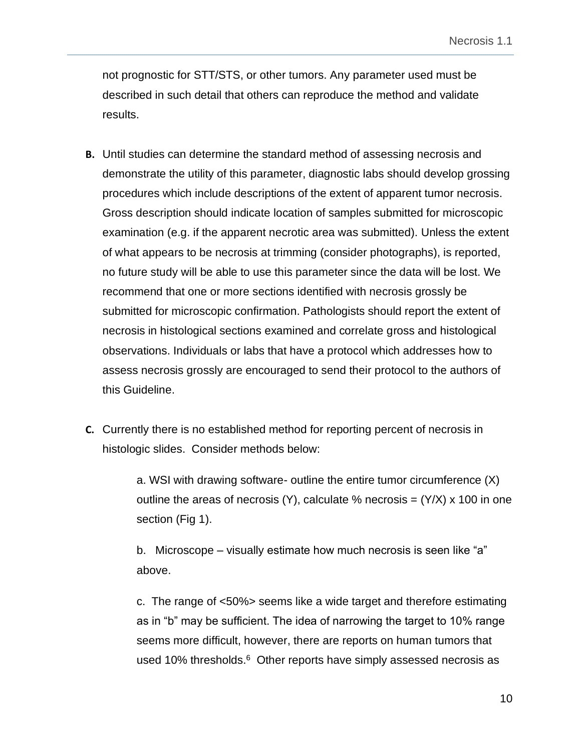not prognostic for STT/STS, or other tumors. Any parameter used must be described in such detail that others can reproduce the method and validate results.

- **B.** Until studies can determine the standard method of assessing necrosis and demonstrate the utility of this parameter, diagnostic labs should develop grossing procedures which include descriptions of the extent of apparent tumor necrosis. Gross description should indicate location of samples submitted for microscopic examination (e.g. if the apparent necrotic area was submitted). Unless the extent of what appears to be necrosis at trimming (consider photographs), is reported, no future study will be able to use this parameter since the data will be lost. We recommend that one or more sections identified with necrosis grossly be submitted for microscopic confirmation. Pathologists should report the extent of necrosis in histological sections examined and correlate gross and histological observations. Individuals or labs that have a protocol which addresses how to assess necrosis grossly are encouraged to send their protocol to the authors of this Guideline.
- **C.** Currently there is no established method for reporting percent of necrosis in histologic slides. Consider methods below:

a. WSI with drawing software- outline the entire tumor circumference (X) outline the areas of necrosis (Y), calculate % necrosis =  $(Y/X)$  x 100 in one section (Fig 1).

b. Microscope – visually estimate how much necrosis is seen like "a" above.

c. The range of <50%> seems like a wide target and therefore estimating as in "b" may be sufficient. The idea of narrowing the target to 10% range seems more difficult, however, there are reports on human tumors that used 10% thresholds.<sup>6</sup> Other reports have simply assessed necrosis as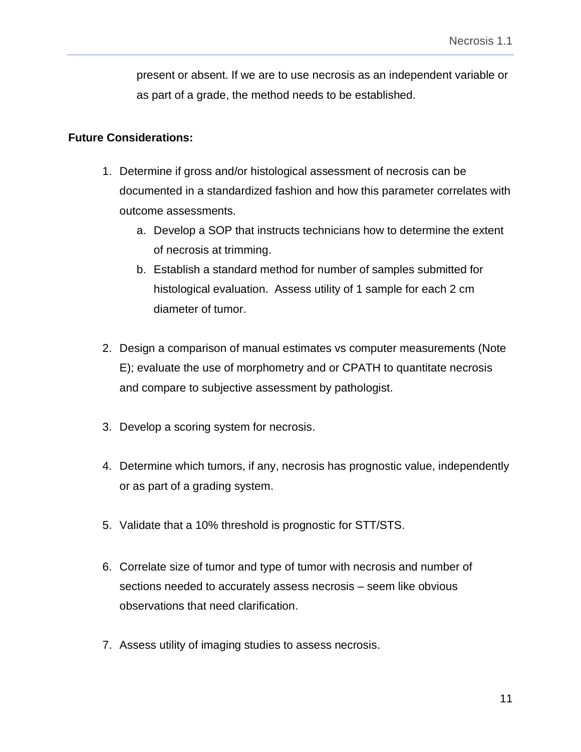present or absent. If we are to use necrosis as an independent variable or as part of a grade, the method needs to be established.

## <span id="page-10-0"></span>**Future Considerations:**

- 1. Determine if gross and/or histological assessment of necrosis can be documented in a standardized fashion and how this parameter correlates with outcome assessments.
	- a. Develop a SOP that instructs technicians how to determine the extent of necrosis at trimming.
	- b. Establish a standard method for number of samples submitted for histological evaluation. Assess utility of 1 sample for each 2 cm diameter of tumor.
- 2. Design a comparison of manual estimates vs computer measurements (Note E); evaluate the use of morphometry and or CPATH to quantitate necrosis and compare to subjective assessment by pathologist.
- 3. Develop a scoring system for necrosis.
- 4. Determine which tumors, if any, necrosis has prognostic value, independently or as part of a grading system.
- 5. Validate that a 10% threshold is prognostic for STT/STS.
- 6. Correlate size of tumor and type of tumor with necrosis and number of sections needed to accurately assess necrosis – seem like obvious observations that need clarification.
- 7. Assess utility of imaging studies to assess necrosis.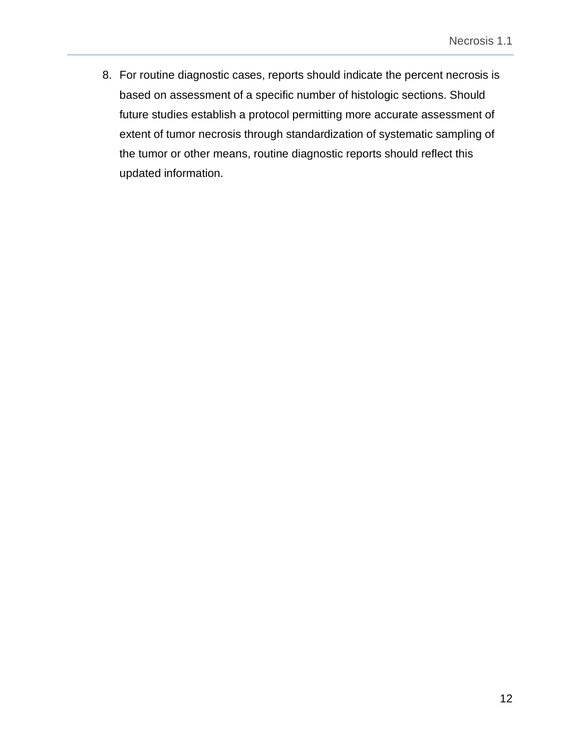8. For routine diagnostic cases, reports should indicate the percent necrosis is based on assessment of a specific number of histologic sections. Should future studies establish a protocol permitting more accurate assessment of extent of tumor necrosis through standardization of systematic sampling of the tumor or other means, routine diagnostic reports should reflect this updated information.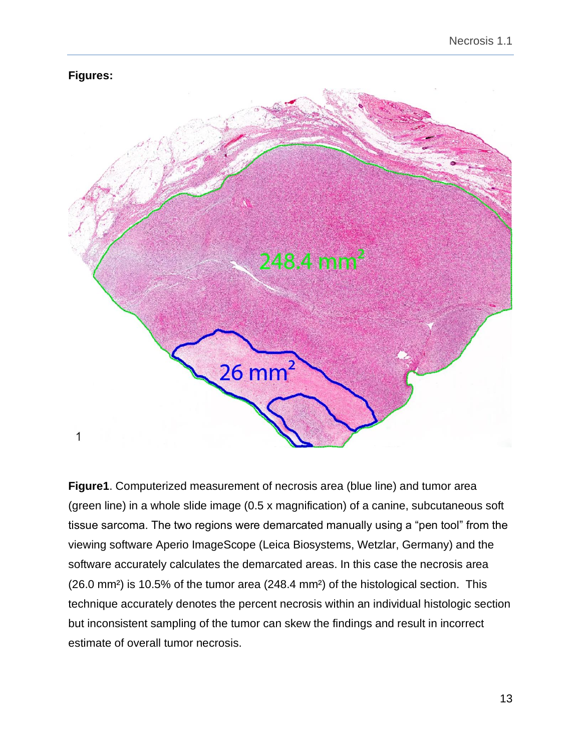<span id="page-12-0"></span>

**Figure1**. Computerized measurement of necrosis area (blue line) and tumor area (green line) in a whole slide image (0.5 x magnification) of a canine, subcutaneous soft tissue sarcoma. The two regions were demarcated manually using a "pen tool" from the viewing software Aperio ImageScope (Leica Biosystems, Wetzlar, Germany) and the software accurately calculates the demarcated areas. In this case the necrosis area (26.0 mm²) is 10.5% of the tumor area (248.4 mm²) of the histological section. This technique accurately denotes the percent necrosis within an individual histologic section but inconsistent sampling of the tumor can skew the findings and result in incorrect estimate of overall tumor necrosis.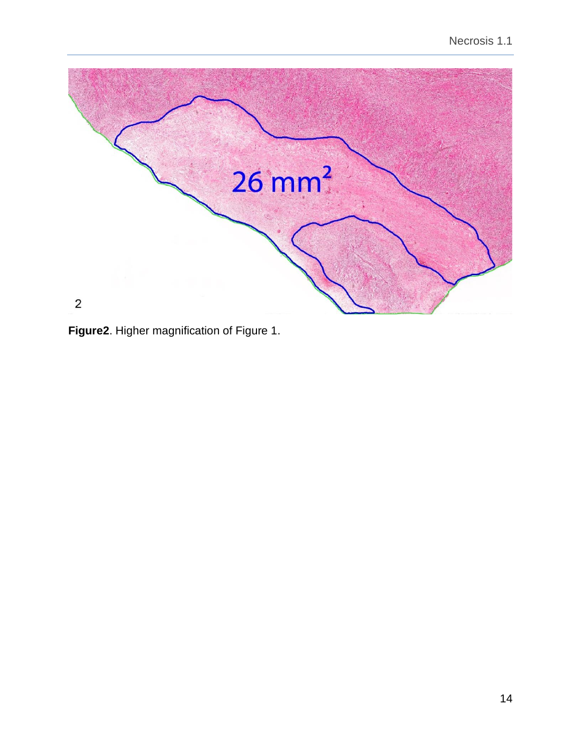

**Figure2**. Higher magnification of Figure 1.